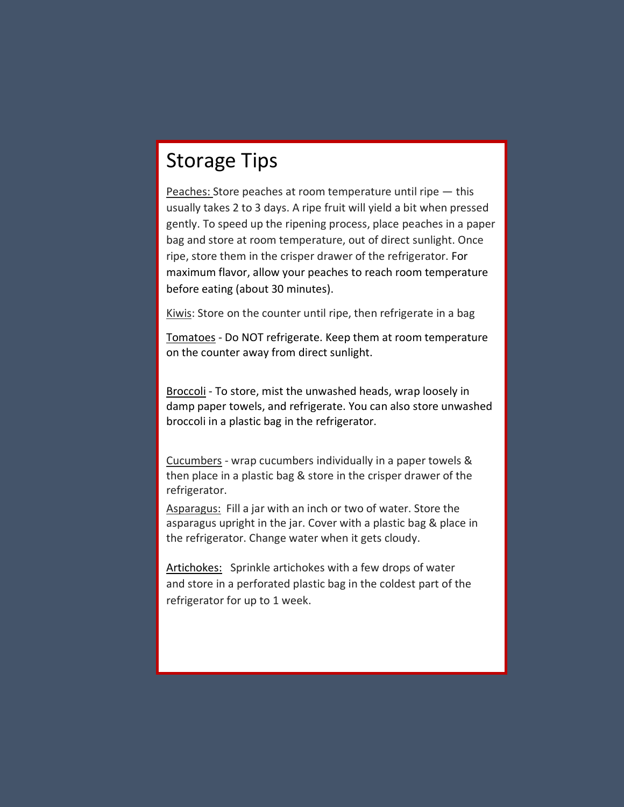# Storage Tips

Peaches: Store peaches at room temperature until ripe — this usually takes 2 to 3 days. A ripe fruit will yield a bit when pressed gently. To speed up the ripening process, place peaches in a paper bag and store at room temperature, out of direct sunlight. Once ripe, store them in the crisper drawer of the refrigerator. For maximum flavor, allow your peaches to reach room temperature before eating (about 30 minutes).

Kiwis: Store on the counter until ripe, then refrigerate in a bag

Tomatoes - Do NOT refrigerate. Keep them at room temperature on the counter away from direct sunlight.

Broccoli - To store, mist the unwashed heads, wrap loosely in damp paper towels, and refrigerate. You can also store unwashed broccoli in a plastic bag in the refrigerator.

Cucumbers - wrap cucumbers individually in a paper towels & then place in a plastic bag & store in the crisper drawer of the refrigerator.

Asparagus: Fill a jar with an inch or two of water. Store the asparagus upright in the jar. Cover with a plastic bag & place in the refrigerator. Change water when it gets cloudy.

Artichokes: Sprinkle artichokes with a few drops of water and store in a perforated plastic bag in the coldest part of the refrigerator for up to 1 week.